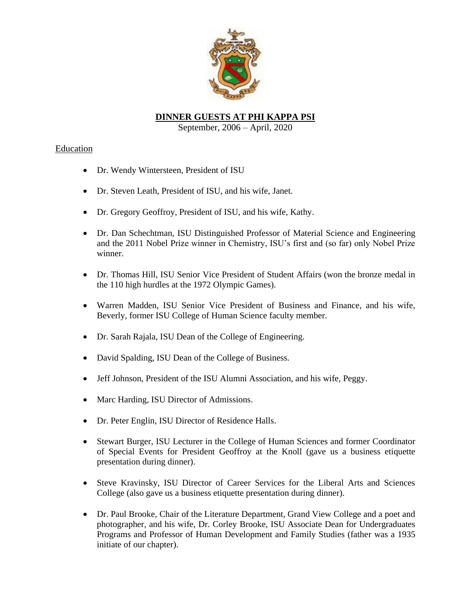

# **DINNER GUESTS AT PHI KAPPA PSI**

September, 2006 – April, 2020

## Education

- Dr. Wendy Wintersteen, President of ISU
- Dr. Steven Leath, President of ISU, and his wife, Janet.
- Dr. Gregory Geoffroy, President of ISU, and his wife, Kathy.
- Dr. Dan Schechtman, ISU Distinguished Professor of Material Science and Engineering and the 2011 Nobel Prize winner in Chemistry, ISU's first and (so far) only Nobel Prize winner.
- Dr. Thomas Hill, ISU Senior Vice President of Student Affairs (won the bronze medal in the 110 high hurdles at the 1972 Olympic Games).
- Warren Madden, ISU Senior Vice President of Business and Finance, and his wife, Beverly, former ISU College of Human Science faculty member.
- Dr. Sarah Rajala, ISU Dean of the College of Engineering.
- David Spalding, ISU Dean of the College of Business.
- Jeff Johnson, President of the ISU Alumni Association, and his wife, Peggy.
- Marc Harding, ISU Director of Admissions.
- Dr. Peter Englin, ISU Director of Residence Halls.
- Stewart Burger, ISU Lecturer in the College of Human Sciences and former Coordinator of Special Events for President Geoffroy at the Knoll (gave us a business etiquette presentation during dinner).
- Steve Kravinsky, ISU Director of Career Services for the Liberal Arts and Sciences College (also gave us a business etiquette presentation during dinner).
- Dr. Paul Brooke, Chair of the Literature Department, Grand View College and a poet and photographer, and his wife, Dr. Corley Brooke, ISU Associate Dean for Undergraduates Programs and Professor of Human Development and Family Studies (father was a 1935 initiate of our chapter).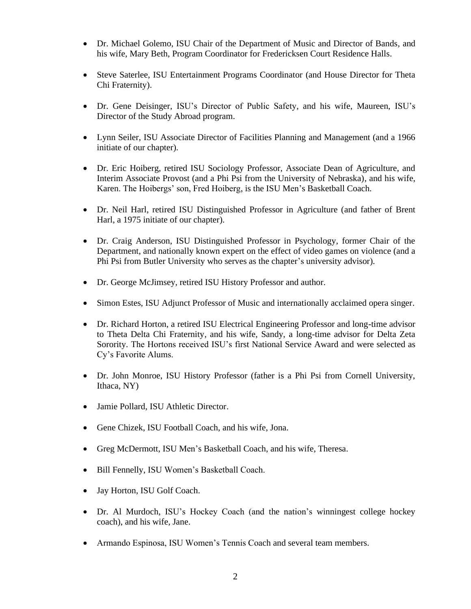- Dr. Michael Golemo, ISU Chair of the Department of Music and Director of Bands, and his wife, Mary Beth, Program Coordinator for Fredericksen Court Residence Halls.
- Steve Saterlee, ISU Entertainment Programs Coordinator (and House Director for Theta Chi Fraternity).
- Dr. Gene Deisinger, ISU's Director of Public Safety, and his wife, Maureen, ISU's Director of the Study Abroad program.
- Lynn Seiler, ISU Associate Director of Facilities Planning and Management (and a 1966 initiate of our chapter).
- Dr. Eric Hoiberg, retired ISU Sociology Professor, Associate Dean of Agriculture, and Interim Associate Provost (and a Phi Psi from the University of Nebraska), and his wife, Karen. The Hoibergs' son, Fred Hoiberg, is the ISU Men's Basketball Coach.
- Dr. Neil Harl, retired ISU Distinguished Professor in Agriculture (and father of Brent Harl, a 1975 initiate of our chapter).
- Dr. Craig Anderson, ISU Distinguished Professor in Psychology, former Chair of the Department, and nationally known expert on the effect of video games on violence (and a Phi Psi from Butler University who serves as the chapter's university advisor).
- Dr. George McJimsey, retired ISU History Professor and author.
- Simon Estes, ISU Adjunct Professor of Music and internationally acclaimed opera singer.
- Dr. Richard Horton, a retired ISU Electrical Engineering Professor and long-time advisor to Theta Delta Chi Fraternity, and his wife, Sandy, a long-time advisor for Delta Zeta Sorority. The Hortons received ISU's first National Service Award and were selected as Cy's Favorite Alums.
- Dr. John Monroe, ISU History Professor (father is a Phi Psi from Cornell University, Ithaca, NY)
- Jamie Pollard, ISU Athletic Director.
- Gene Chizek, ISU Football Coach, and his wife, Jona.
- Greg McDermott, ISU Men's Basketball Coach, and his wife, Theresa.
- Bill Fennelly, ISU Women's Basketball Coach.
- Jay Horton, ISU Golf Coach.
- Dr. Al Murdoch, ISU's Hockey Coach (and the nation's winningest college hockey coach), and his wife, Jane.
- Armando Espinosa, ISU Women's Tennis Coach and several team members.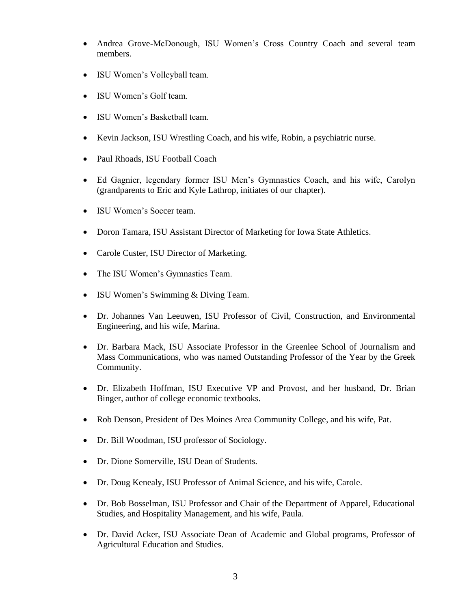- Andrea Grove-McDonough, ISU Women's Cross Country Coach and several team members.
- ISU Women's Volleyball team.
- ISU Women's Golf team.
- ISU Women's Basketball team.
- Kevin Jackson, ISU Wrestling Coach, and his wife, Robin, a psychiatric nurse.
- Paul Rhoads, ISU Football Coach
- Ed Gagnier, legendary former ISU Men's Gymnastics Coach, and his wife, Carolyn (grandparents to Eric and Kyle Lathrop, initiates of our chapter).
- ISU Women's Soccer team.
- Doron Tamara, ISU Assistant Director of Marketing for Iowa State Athletics.
- Carole Custer, ISU Director of Marketing.
- The ISU Women's Gymnastics Team.
- ISU Women's Swimming & Diving Team.
- Dr. Johannes Van Leeuwen, ISU Professor of Civil, Construction, and Environmental Engineering, and his wife, Marina.
- Dr. Barbara Mack, ISU Associate Professor in the Greenlee School of Journalism and Mass Communications, who was named Outstanding Professor of the Year by the Greek Community.
- Dr. Elizabeth Hoffman, ISU Executive VP and Provost, and her husband, Dr. Brian Binger, author of college economic textbooks.
- Rob Denson, President of Des Moines Area Community College, and his wife, Pat.
- Dr. Bill Woodman, ISU professor of Sociology.
- Dr. Dione Somerville, ISU Dean of Students.
- Dr. Doug Kenealy, ISU Professor of Animal Science, and his wife, Carole.
- Dr. Bob Bosselman, ISU Professor and Chair of the Department of Apparel, Educational Studies, and Hospitality Management, and his wife, Paula.
- Dr. David Acker, ISU Associate Dean of Academic and Global programs, Professor of Agricultural Education and Studies.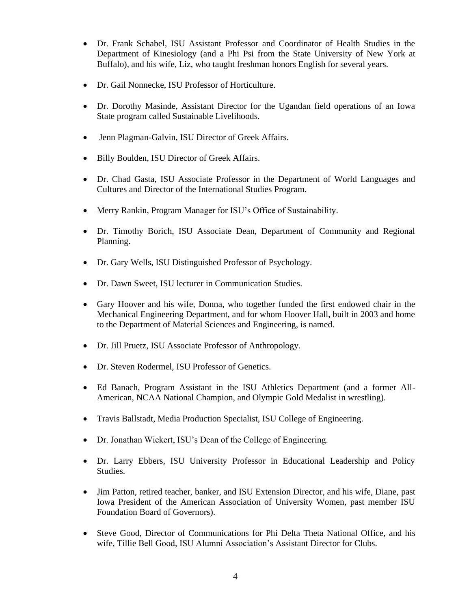- Dr. Frank Schabel, ISU Assistant Professor and Coordinator of Health Studies in the Department of Kinesiology (and a Phi Psi from the State University of New York at Buffalo), and his wife, Liz, who taught freshman honors English for several years.
- Dr. Gail Nonnecke, ISU Professor of Horticulture.
- Dr. Dorothy Masinde, Assistant Director for the Ugandan field operations of an Iowa State program called Sustainable Livelihoods.
- Jenn Plagman-Galvin, ISU Director of Greek Affairs.
- Billy Boulden, ISU Director of Greek Affairs.
- Dr. Chad Gasta, ISU Associate Professor in the Department of World Languages and Cultures and Director of the International Studies Program.
- Merry Rankin, Program Manager for ISU's Office of Sustainability.
- Dr. Timothy Borich, ISU Associate Dean, Department of Community and Regional Planning.
- Dr. Gary Wells, ISU Distinguished Professor of Psychology.
- Dr. Dawn Sweet, ISU lecturer in Communication Studies.
- Gary Hoover and his wife, Donna, who together funded the first endowed chair in the Mechanical Engineering Department, and for whom Hoover Hall, built in 2003 and home to the Department of Material Sciences and Engineering, is named.
- Dr. Jill Pruetz, ISU Associate Professor of Anthropology.
- Dr. Steven Rodermel, ISU Professor of Genetics.
- Ed Banach, Program Assistant in the ISU Athletics Department (and a former All-American, NCAA National Champion, and Olympic Gold Medalist in wrestling).
- Travis Ballstadt, Media Production Specialist, ISU College of Engineering.
- Dr. Jonathan Wickert, ISU's Dean of the College of Engineering.
- Dr. Larry Ebbers, ISU University Professor in Educational Leadership and Policy Studies.
- Jim Patton, retired teacher, banker, and ISU Extension Director, and his wife, Diane, past Iowa President of the American Association of University Women, past member ISU Foundation Board of Governors).
- Steve Good, Director of Communications for Phi Delta Theta National Office, and his wife, Tillie Bell Good, ISU Alumni Association's Assistant Director for Clubs.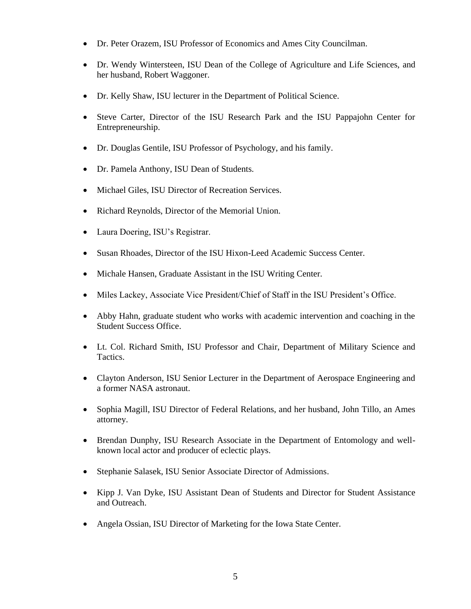- Dr. Peter Orazem, ISU Professor of Economics and Ames City Councilman.
- Dr. Wendy Wintersteen, ISU Dean of the College of Agriculture and Life Sciences, and her husband, Robert Waggoner.
- Dr. Kelly Shaw, ISU lecturer in the Department of Political Science.
- Steve Carter, Director of the ISU Research Park and the ISU Pappajohn Center for Entrepreneurship.
- Dr. Douglas Gentile, ISU Professor of Psychology, and his family.
- Dr. Pamela Anthony, ISU Dean of Students.
- Michael Giles, ISU Director of Recreation Services.
- Richard Reynolds, Director of the Memorial Union.
- Laura Doering, ISU's Registrar.
- Susan Rhoades, Director of the ISU Hixon-Leed Academic Success Center.
- Michale Hansen, Graduate Assistant in the ISU Writing Center.
- Miles Lackey, Associate Vice President/Chief of Staff in the ISU President's Office.
- Abby Hahn, graduate student who works with academic intervention and coaching in the Student Success Office.
- Lt. Col. Richard Smith, ISU Professor and Chair, Department of Military Science and Tactics.
- Clayton Anderson, ISU Senior Lecturer in the Department of Aerospace Engineering and a former NASA astronaut.
- Sophia Magill, ISU Director of Federal Relations, and her husband, John Tillo, an Ames attorney.
- Brendan Dunphy, ISU Research Associate in the Department of Entomology and wellknown local actor and producer of eclectic plays.
- Stephanie Salasek, ISU Senior Associate Director of Admissions.
- Kipp J. Van Dyke, ISU Assistant Dean of Students and Director for Student Assistance and Outreach.
- Angela Ossian, ISU Director of Marketing for the Iowa State Center.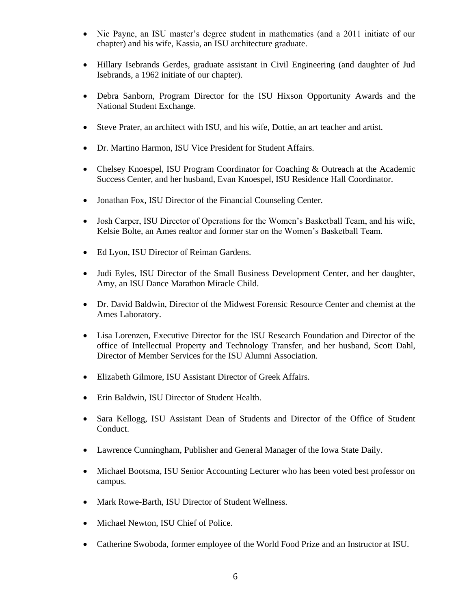- Nic Payne, an ISU master's degree student in mathematics (and a 2011 initiate of our chapter) and his wife, Kassia, an ISU architecture graduate.
- Hillary Isebrands Gerdes, graduate assistant in Civil Engineering (and daughter of Jud Isebrands, a 1962 initiate of our chapter).
- Debra Sanborn, Program Director for the ISU Hixson Opportunity Awards and the National Student Exchange.
- Steve Prater, an architect with ISU, and his wife, Dottie, an art teacher and artist.
- Dr. Martino Harmon, ISU Vice President for Student Affairs.
- Chelsey Knoespel, ISU Program Coordinator for Coaching & Outreach at the Academic Success Center, and her husband, Evan Knoespel, ISU Residence Hall Coordinator.
- Jonathan Fox, ISU Director of the Financial Counseling Center.
- Josh Carper, ISU Director of Operations for the Women's Basketball Team, and his wife, Kelsie Bolte, an Ames realtor and former star on the Women's Basketball Team.
- Ed Lyon, ISU Director of Reiman Gardens.
- Judi Eyles, ISU Director of the Small Business Development Center, and her daughter, Amy, an ISU Dance Marathon Miracle Child.
- Dr. David Baldwin, Director of the Midwest Forensic Resource Center and chemist at the Ames Laboratory.
- Lisa Lorenzen, Executive Director for the ISU Research Foundation and Director of the office of Intellectual Property and Technology Transfer, and her husband, Scott Dahl, Director of Member Services for the ISU Alumni Association.
- Elizabeth Gilmore, ISU Assistant Director of Greek Affairs.
- Erin Baldwin, ISU Director of Student Health.
- Sara Kellogg, ISU Assistant Dean of Students and Director of the Office of Student Conduct.
- Lawrence Cunningham, Publisher and General Manager of the Iowa State Daily.
- Michael Bootsma, ISU Senior Accounting Lecturer who has been voted best professor on campus.
- Mark Rowe-Barth, ISU Director of Student Wellness.
- Michael Newton, ISU Chief of Police.
- Catherine Swoboda, former employee of the World Food Prize and an Instructor at ISU.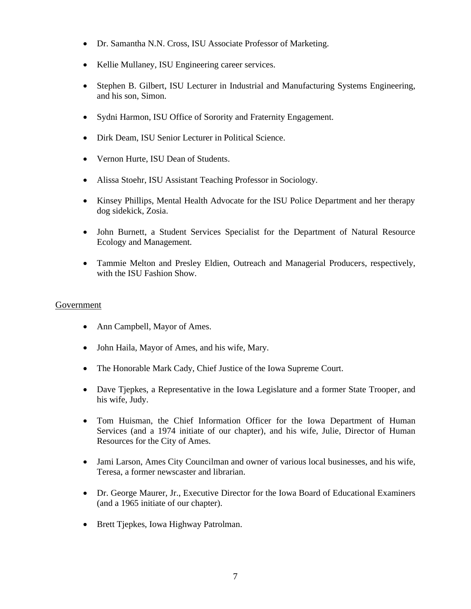- Dr. Samantha N.N. Cross, ISU Associate Professor of Marketing.
- Kellie Mullaney, ISU Engineering career services.
- Stephen B. Gilbert, ISU Lecturer in Industrial and Manufacturing Systems Engineering, and his son, Simon.
- Sydni Harmon, ISU Office of Sorority and Fraternity Engagement.
- Dirk Deam, ISU Senior Lecturer in Political Science.
- Vernon Hurte, ISU Dean of Students.
- Alissa Stoehr, ISU Assistant Teaching Professor in Sociology.
- Kinsey Phillips, Mental Health Advocate for the ISU Police Department and her therapy dog sidekick, Zosia.
- John Burnett, a Student Services Specialist for the Department of Natural Resource Ecology and Management.
- Tammie Melton and Presley Eldien, Outreach and Managerial Producers, respectively, with the ISU Fashion Show.

#### Government

- Ann Campbell, Mayor of Ames.
- John Haila, Mayor of Ames, and his wife, Mary.
- The Honorable Mark Cady, Chief Justice of the Iowa Supreme Court.
- Dave Tjepkes, a Representative in the Iowa Legislature and a former State Trooper, and his wife, Judy.
- Tom Huisman, the Chief Information Officer for the Iowa Department of Human Services (and a 1974 initiate of our chapter), and his wife, Julie, Director of Human Resources for the City of Ames.
- Jami Larson, Ames City Councilman and owner of various local businesses, and his wife, Teresa, a former newscaster and librarian.
- Dr. George Maurer, Jr., Executive Director for the Iowa Board of Educational Examiners (and a 1965 initiate of our chapter).
- Brett Tjepkes, Iowa Highway Patrolman.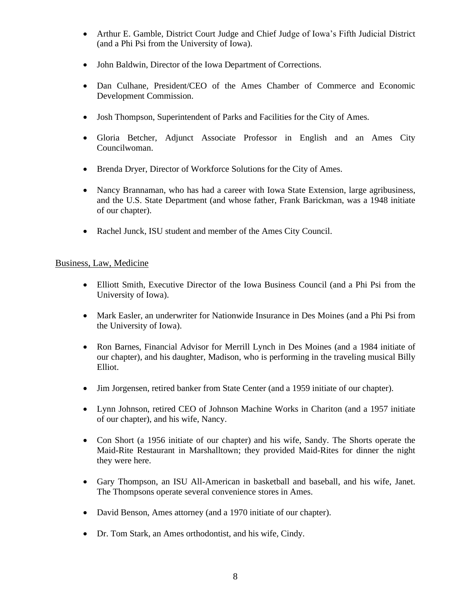- Arthur E. Gamble, District Court Judge and Chief Judge of Iowa's Fifth Judicial District (and a Phi Psi from the University of Iowa).
- John Baldwin, Director of the Iowa Department of Corrections.
- Dan Culhane, President/CEO of the Ames Chamber of Commerce and Economic Development Commission.
- Josh Thompson, Superintendent of Parks and Facilities for the City of Ames.
- Gloria Betcher, Adjunct Associate Professor in English and an Ames City Councilwoman.
- Brenda Dryer, Director of Workforce Solutions for the City of Ames.
- Nancy Brannaman, who has had a career with Iowa State Extension, large agribusiness, and the U.S. State Department (and whose father, Frank Barickman, was a 1948 initiate of our chapter).
- Rachel Junck, ISU student and member of the Ames City Council.

#### Business, Law, Medicine

- Elliott Smith, Executive Director of the Iowa Business Council (and a Phi Psi from the University of Iowa).
- Mark Easler, an underwriter for Nationwide Insurance in Des Moines (and a Phi Psi from the University of Iowa).
- Ron Barnes, Financial Advisor for Merrill Lynch in Des Moines (and a 1984 initiate of our chapter), and his daughter, Madison, who is performing in the traveling musical Billy Elliot.
- Jim Jorgensen, retired banker from State Center (and a 1959 initiate of our chapter).
- Lynn Johnson, retired CEO of Johnson Machine Works in Chariton (and a 1957 initiate of our chapter), and his wife, Nancy.
- Con Short (a 1956 initiate of our chapter) and his wife, Sandy. The Shorts operate the Maid-Rite Restaurant in Marshalltown; they provided Maid-Rites for dinner the night they were here.
- Gary Thompson, an ISU All-American in basketball and baseball, and his wife, Janet. The Thompsons operate several convenience stores in Ames.
- David Benson, Ames attorney (and a 1970 initiate of our chapter).
- Dr. Tom Stark, an Ames orthodontist, and his wife, Cindy.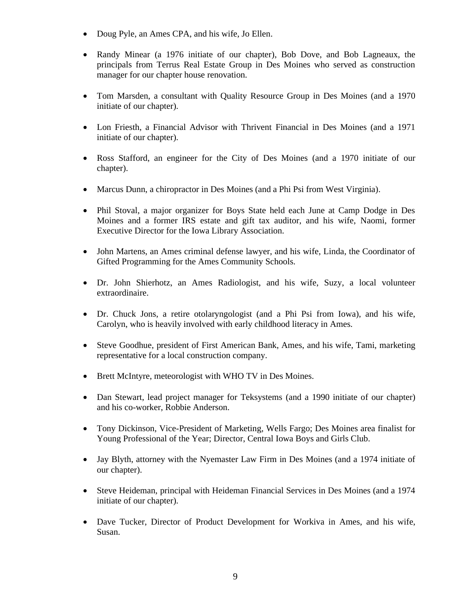- Doug Pyle, an Ames CPA, and his wife, Jo Ellen.
- Randy Minear (a 1976 initiate of our chapter), Bob Dove, and Bob Lagneaux, the principals from Terrus Real Estate Group in Des Moines who served as construction manager for our chapter house renovation.
- Tom Marsden, a consultant with Quality Resource Group in Des Moines (and a 1970 initiate of our chapter).
- Lon Friesth, a Financial Advisor with Thrivent Financial in Des Moines (and a 1971 initiate of our chapter).
- Ross Stafford, an engineer for the City of Des Moines (and a 1970 initiate of our chapter).
- Marcus Dunn, a chiropractor in Des Moines (and a Phi Psi from West Virginia).
- Phil Stoval, a major organizer for Boys State held each June at Camp Dodge in Des Moines and a former IRS estate and gift tax auditor, and his wife, Naomi, former Executive Director for the Iowa Library Association.
- John Martens, an Ames criminal defense lawyer, and his wife, Linda, the Coordinator of Gifted Programming for the Ames Community Schools.
- Dr. John Shierhotz, an Ames Radiologist, and his wife, Suzy, a local volunteer extraordinaire.
- Dr. Chuck Jons, a retire otolaryngologist (and a Phi Psi from Iowa), and his wife, Carolyn, who is heavily involved with early childhood literacy in Ames.
- Steve Goodhue, president of First American Bank, Ames, and his wife, Tami, marketing representative for a local construction company.
- Brett McIntyre, meteorologist with WHO TV in Des Moines.
- Dan Stewart, lead project manager for Teksystems (and a 1990 initiate of our chapter) and his co-worker, Robbie Anderson.
- Tony Dickinson, Vice-President of Marketing, Wells Fargo; Des Moines area finalist for Young Professional of the Year; Director, Central Iowa Boys and Girls Club.
- Jay Blyth, attorney with the Nyemaster Law Firm in Des Moines (and a 1974 initiate of our chapter).
- Steve Heideman, principal with Heideman Financial Services in Des Moines (and a 1974 initiate of our chapter).
- Dave Tucker, Director of Product Development for Workiva in Ames, and his wife, Susan.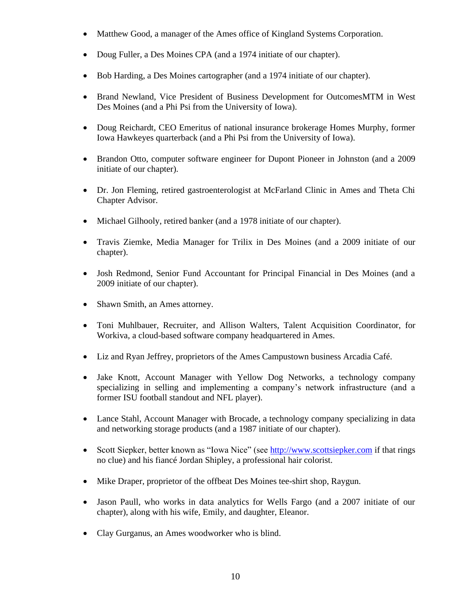- Matthew Good, a manager of the Ames office of Kingland Systems Corporation.
- Doug Fuller, a Des Moines CPA (and a 1974 initiate of our chapter).
- Bob Harding, a Des Moines cartographer (and a 1974 initiate of our chapter).
- Brand Newland, Vice President of Business Development for OutcomesMTM in West Des Moines (and a Phi Psi from the University of Iowa).
- Doug Reichardt, CEO Emeritus of national insurance brokerage Homes Murphy, former Iowa Hawkeyes quarterback (and a Phi Psi from the University of Iowa).
- Brandon Otto, computer software engineer for Dupont Pioneer in Johnston (and a 2009) initiate of our chapter).
- Dr. Jon Fleming, retired gastroenterologist at McFarland Clinic in Ames and Theta Chi Chapter Advisor.
- Michael Gilhooly, retired banker (and a 1978 initiate of our chapter).
- Travis Ziemke, Media Manager for Trilix in Des Moines (and a 2009 initiate of our chapter).
- Josh Redmond, Senior Fund Accountant for Principal Financial in Des Moines (and a 2009 initiate of our chapter).
- Shawn Smith, an Ames attorney.
- Toni Muhlbauer, Recruiter, and Allison Walters, Talent Acquisition Coordinator, for Workiva, a cloud-based software company headquartered in Ames.
- Liz and Ryan Jeffrey, proprietors of the Ames Campustown business Arcadia Café.
- Jake Knott, Account Manager with Yellow Dog Networks, a technology company specializing in selling and implementing a company's network infrastructure (and a former ISU football standout and NFL player).
- Lance Stahl, Account Manager with Brocade, a technology company specializing in data and networking storage products (and a 1987 initiate of our chapter).
- Scott Siepker, better known as "Iowa Nice" (see [http://www.scottsiepker.com](http://www.scottsiepker.com/) if that rings no clue) and his fiancé Jordan Shipley, a professional hair colorist.
- Mike Draper, proprietor of the offbeat Des Moines tee-shirt shop, Raygun.
- Jason Paull, who works in data analytics for Wells Fargo (and a 2007 initiate of our chapter), along with his wife, Emily, and daughter, Eleanor.
- Clay Gurganus, an Ames woodworker who is blind.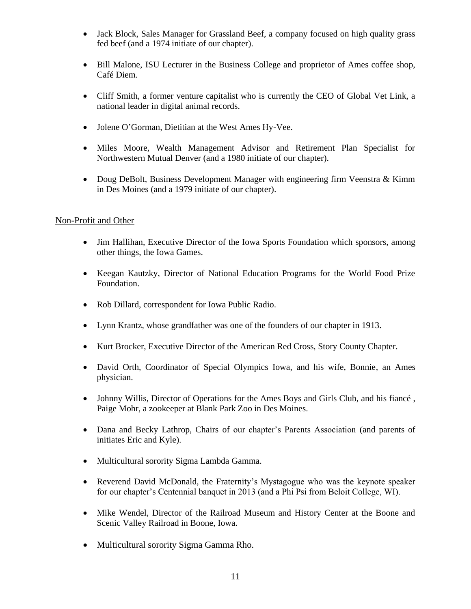- Jack Block, Sales Manager for Grassland Beef, a company focused on high quality grass fed beef (and a 1974 initiate of our chapter).
- Bill Malone, ISU Lecturer in the Business College and proprietor of Ames coffee shop, Café Diem.
- Cliff Smith, a former venture capitalist who is currently the CEO of Global Vet Link, a national leader in digital animal records.
- Jolene O'Gorman, Dietitian at the West Ames Hy-Vee.
- Miles Moore, Wealth Management Advisor and Retirement Plan Specialist for Northwestern Mutual Denver (and a 1980 initiate of our chapter).
- Doug DeBolt, Business Development Manager with engineering firm Veenstra & Kimm in Des Moines (and a 1979 initiate of our chapter).

### Non-Profit and Other

- Jim Hallihan, Executive Director of the Iowa Sports Foundation which sponsors, among other things, the Iowa Games.
- Keegan Kautzky, Director of National Education Programs for the World Food Prize Foundation.
- Rob Dillard, correspondent for Iowa Public Radio.
- Lynn Krantz, whose grandfather was one of the founders of our chapter in 1913.
- Kurt Brocker, Executive Director of the American Red Cross, Story County Chapter.
- David Orth, Coordinator of Special Olympics Iowa, and his wife, Bonnie, an Ames physician.
- Johnny Willis, Director of Operations for the Ames Boys and Girls Club, and his fiancé , Paige Mohr, a zookeeper at Blank Park Zoo in Des Moines.
- Dana and Becky Lathrop, Chairs of our chapter's Parents Association (and parents of initiates Eric and Kyle).
- Multicultural sorority Sigma Lambda Gamma.
- Reverend David McDonald, the Fraternity's Mystagogue who was the keynote speaker for our chapter's Centennial banquet in 2013 (and a Phi Psi from Beloit College, WI).
- Mike Wendel, Director of the Railroad Museum and History Center at the Boone and Scenic Valley Railroad in Boone, Iowa.
- Multicultural sorority Sigma Gamma Rho.